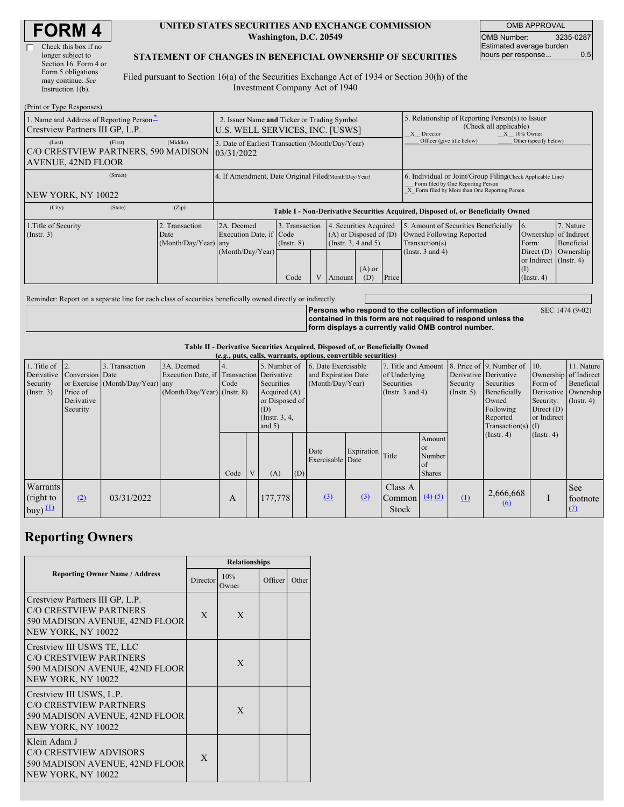г

#### **UNITED STATES SECURITIES AND EXCHANGE COMMISSION Washington, D.C. 20549**

OMB APPROVAL OMB Number: 3235-0287 Estimated average burden hours per response... 0.5

## **STATEMENT OF CHANGES IN BENEFICIAL OWNERSHIP OF SECURITIES**

Filed pursuant to Section 16(a) of the Securities Exchange Act of 1934 or Section 30(h) of the Investment Company Act of 1940

| (Print or Type Responses)                                                             |                                                                                |                                                                                  |                                           |  |                                                                                            |                 |                                                                                                                                                    |                                                                                                             |                                                                                                                       |                                      |  |
|---------------------------------------------------------------------------------------|--------------------------------------------------------------------------------|----------------------------------------------------------------------------------|-------------------------------------------|--|--------------------------------------------------------------------------------------------|-----------------|----------------------------------------------------------------------------------------------------------------------------------------------------|-------------------------------------------------------------------------------------------------------------|-----------------------------------------------------------------------------------------------------------------------|--------------------------------------|--|
| 1. Name and Address of Reporting Person-<br>Crestview Partners III GP, L.P.           | 2. Issuer Name and Ticker or Trading Symbol<br>U.S. WELL SERVICES, INC. [USWS] |                                                                                  |                                           |  |                                                                                            |                 | 5. Relationship of Reporting Person(s) to Issuer<br>(Check all applicable)<br>$X = 10\%$ Owner<br>X Director                                       |                                                                                                             |                                                                                                                       |                                      |  |
| (First)<br>(Last)<br>C/O CRESTVIEW PARTNERS, 590 MADISON<br><b>AVENUE, 42ND FLOOR</b> | 3. Date of Earliest Transaction (Month/Day/Year)<br>03/31/2022                 |                                                                                  |                                           |  |                                                                                            |                 | Officer (give title below)                                                                                                                         | Other (specify below)                                                                                       |                                                                                                                       |                                      |  |
| (Street)<br>NEW YORK, NY 10022                                                        | 4. If Amendment, Date Original Filed(Month/Day/Year)                           |                                                                                  |                                           |  |                                                                                            |                 | 6. Individual or Joint/Group Filing Check Applicable Line)<br>Form filed by One Reporting Person<br>X Form filed by More than One Reporting Person |                                                                                                             |                                                                                                                       |                                      |  |
| (City)<br>(State)                                                                     | (Zip)                                                                          | Table I - Non-Derivative Securities Acquired, Disposed of, or Beneficially Owned |                                           |  |                                                                                            |                 |                                                                                                                                                    |                                                                                                             |                                                                                                                       |                                      |  |
| 1. Title of Security<br>$($ Instr. 3 $)$                                              | 2. Transaction<br>Date<br>$(Month/Day/Year)$ any                               | 2A. Deemed<br>Execution Date, if Code<br>(Month/Day/Year)                        | 3. Transaction<br>$($ Instr. $8)$<br>Code |  | 4. Securities Acquired<br>$(A)$ or Disposed of $(D)$<br>(Instr. $3, 4$ and $5$ )<br>Amount | $(A)$ or<br>(D) | Price                                                                                                                                              | 5. Amount of Securities Beneficially<br>Owned Following Reported<br>Transaction(s)<br>(Instr. $3$ and $4$ ) | 16.<br>Ownership of Indirect<br>Form:<br>Direct $(D)$<br>or Indirect $($ Instr. 4 $)$<br>$\rm(I)$<br>$($ Instr. 4 $)$ | 7. Nature<br>Beneficial<br>Ownership |  |

Reminder: Report on a separate line for each class of securities beneficially owned directly or indirectly.

**Persons who respond to the collection of information contained in this form are not required to respond unless the form displays a currently valid OMB control number.**

SEC 1474 (9-02)

## **Table II - Derivative Securities Acquired, Disposed of, or Beneficially Owned**

| (e.g., puts, calls, warrants, options, convertible securities) |                                                                      |                                                       |                                                    |                                                                                          |      |   |                                                                                                       |     |                                                                |            |                                                                                    |                                                      |                                                  |                                                                                                                      |                                                     |                                                                                               |
|----------------------------------------------------------------|----------------------------------------------------------------------|-------------------------------------------------------|----------------------------------------------------|------------------------------------------------------------------------------------------|------|---|-------------------------------------------------------------------------------------------------------|-----|----------------------------------------------------------------|------------|------------------------------------------------------------------------------------|------------------------------------------------------|--------------------------------------------------|----------------------------------------------------------------------------------------------------------------------|-----------------------------------------------------|-----------------------------------------------------------------------------------------------|
|                                                                | 1. Title of $\vert$ 2.<br>Derivative<br>Security<br>$($ Instr. 3 $)$ | Conversion Date<br>Price of<br>Derivative<br>Security | 3. Transaction<br>or Exercise (Month/Day/Year) any | 3A. Deemed<br>Execution Date, if Transaction Derivative<br>$(Month/Day/Year)$ (Instr. 8) | Code |   | 5. Number of<br>Securities<br>Acquired $(A)$<br>or Disposed of<br>(D)<br>(Instr. $3, 4$ )<br>and $5)$ |     | 6. Date Exercisable<br>and Expiration Date<br>(Month/Day/Year) |            | 7. Title and Amount<br>of Underlying<br><b>Securities</b><br>(Instr. $3$ and $4$ ) |                                                      | Derivative Derivative<br>Security<br>(Insert. 5) | 8. Price of 9. Number of 10.<br>Securities<br>Beneficially<br>Owned<br>Following<br>Reported<br>$Transaction(s)$ (I) | Form of<br>Security:<br>Direct $(D)$<br>or Indirect | 11. Nature<br>Ownership of Indirect<br>Beneficial<br>Derivative Ownership<br>$($ Instr. 4 $)$ |
|                                                                |                                                                      |                                                       |                                                    |                                                                                          | Code | V | (A)                                                                                                   | (D) | Date<br>Exercisable Date                                       | Expiration | Title                                                                              | Amount<br>or<br>Number<br><b>of</b><br><b>Shares</b> |                                                  | (Insert. 4)                                                                                                          | $($ Instr. 4 $)$                                    |                                                                                               |
|                                                                | Warrants<br>(right to<br>buy) $(1)$                                  | (2)                                                   | 03/31/2022                                         |                                                                                          | A    |   | 177,778                                                                                               |     | (3)                                                            | $\Omega$   | Class A<br>Common $\left(4\right)\left(5\right)$<br><b>Stock</b>                   |                                                      | (1)                                              | 2,666,668<br>$\omega$                                                                                                |                                                     | <b>See</b><br>footnote<br>(7)                                                                 |

# **Reporting Owners**

|                                                                                                                          | <b>Relationships</b> |              |         |       |  |  |  |  |
|--------------------------------------------------------------------------------------------------------------------------|----------------------|--------------|---------|-------|--|--|--|--|
| <b>Reporting Owner Name / Address</b>                                                                                    | Director             | 10%<br>Owner | Officer | Other |  |  |  |  |
| Crestview Partners III GP, L.P.<br><b>C/O CRESTVIEW PARTNERS</b><br>590 MADISON AVENUE, 42ND FLOOR<br>NEW YORK, NY 10022 | X                    | X            |         |       |  |  |  |  |
| Crestview III USWS TE, LLC<br><b>C/O CRESTVIEW PARTNERS</b><br>590 MADISON AVENUE, 42ND FLOOR<br>NEW YORK, NY 10022      |                      | X            |         |       |  |  |  |  |
| Crestview III USWS, L.P.<br><b>C/O CRESTVIEW PARTNERS</b><br>590 MADISON AVENUE, 42ND FLOOR<br>NEW YORK, NY 10022        |                      | X            |         |       |  |  |  |  |
| Klein Adam J<br><b>C/O CRESTVIEW ADVISORS</b><br>590 MADISON AVENUE, 42ND FLOOR<br>NEW YORK, NY 10022                    | X                    |              |         |       |  |  |  |  |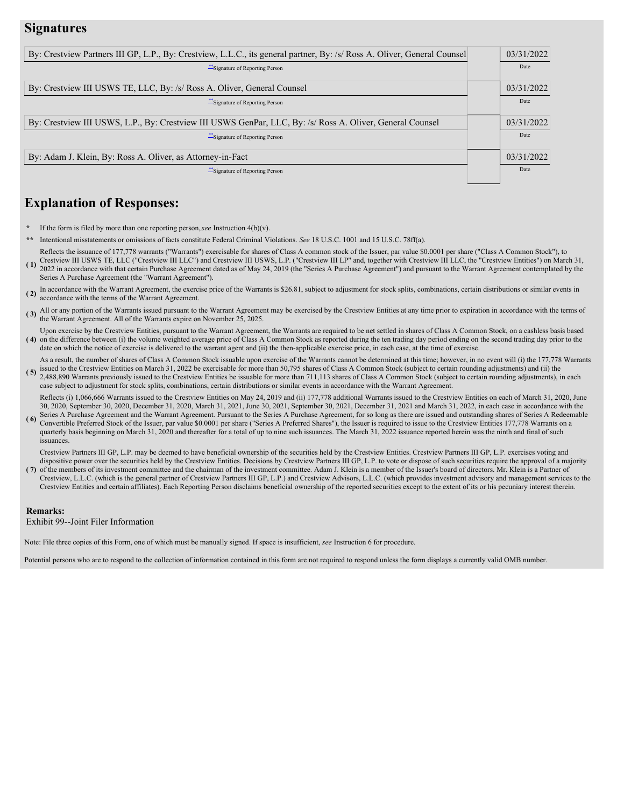# **Signatures**

| By: Crestview Partners III GP, L.P., By: Crestview, L.L.C., its general partner, By: /s/ Ross A. Oliver, General Counsel | 03/31/2022 |
|--------------------------------------------------------------------------------------------------------------------------|------------|
| **Signature of Reporting Person                                                                                          | Date       |
| By: Crestview III USWS TE, LLC, By: /s/ Ross A. Oliver, General Counsel                                                  | 03/31/2022 |
| "Signature of Reporting Person"                                                                                          | Date       |
| By: Crestview III USWS, L.P., By: Crestview III USWS GenPar, LLC, By: /s/ Ross A. Oliver, General Counsel                | 03/31/2022 |
| "Signature of Reporting Person"                                                                                          | Date       |
| By: Adam J. Klein, By: Ross A. Oliver, as Attorney-in-Fact                                                               | 03/31/2022 |
| Signature of Reporting Person                                                                                            | Date       |

# **Explanation of Responses:**

- If the form is filed by more than one reporting person, see Instruction  $4(b)(v)$ .
- **\*\*** Intentional misstatements or omissions of facts constitute Federal Criminal Violations. *See* 18 U.S.C. 1001 and 15 U.S.C. 78ff(a).
- **( 1)** Reflects the issuance of 177,778 warrants ("Warrants") exercisable for shares of Class A common stock of the Issuer, par value \$0.0001 per share ("Class A Common Stock"), to Crestview III USWS TE, LLC ("Crestview III LLC") and Crestview III USWS, L.P. ("Crestview III LP" and, together with Crestview III LLC, the "Crestview Entities") on March 31, 2022 in accordance with that certain Purchase Agreement dated as of May 24, 2019 (the "Series A Purchase Agreement") and pursuant to the Warrant Agreement contemplated by the Series A Purchase Agreement (the "Warrant Agreement").
- **( 2)** In accordance with the Warrant Agreement, the exercise price of the Warrants is \$26.81, subject to adjustment for stock splits, combinations, certain distributions or similar events in accordance with the terms of the Warrant Agreement.
- (3) All or any portion of the Warrants issued pursuant to the Warrant Agreement may be exercised by the Crestview Entities at any time prior to expiration in accordance with the terms of the Warrant Agreement. All of the Warrants expire on November 25, 2025.
- (4) on the difference between (i) the volume weighted average price of Class A Common Stock as reported during the ten trading day period ending on the second trading day prior to the Upon exercise by the Crestview Entities, pursuant to the Warrant Agreement, the Warrants are required to be net settled in shares of Class A Common Stock, on a cashless basis based date on which the notice of exercise is delivered to the warrant agent and (ii) the then-applicable exercise price, in each case, at the time of exercise.

(5) ISSUED to the Crestview Entities on March 31, 2022 be exercisable for more than 70,755 shares of Class A Common Stock (subject to certain rounding adjustments) and (1) the 2,488,890 Warrants previously issued to the Cr As a result, the number of shares of Class A Common Stock issuable upon exercise of the Warrants cannot be determined at this time; however, in no event will (i) the 177,778 Warrants issued to the Crestview Entities on March 31, 2022 be exercisable for more than 50,795 shares of Class A Common Stock (subject to certain rounding adjustments) and (ii) the

case subject to adjustment for stock splits, combinations, certain distributions or similar events in accordance with the Warrant Agreement. Reflects (i) 1,066,666 Warrants issued to the Crestview Entities on May 24, 2019 and (ii) 177,778 additional Warrants issued to the Crestview Entities on each of March 31, 2020, June 30, 2020, September 30, 2020, December 31, 2020, March 31, 2021, June 30, 2021, September 30, 2021, December 31, 2021 and March 31, 2022, in each case in accordance with the

**( 6)** Series A Purchase Agreement and the Warrant Agreement. Pursuant to the Series A Purchase Agreement, for so long as there are issued and outstanding shares of Series A Redeemable Convertible Preferred Stock of the Issuer, par value \$0.0001 per share ("Series A Preferred Shares"), the Issuer is required to issue to the Crestview Entities 177,778 Warrants on a quarterly basis beginning on March 31, 2020 and thereafter for a total of up to nine such issuances. The March 31, 2022 issuance reported herein was the ninth and final of such issuances.

Crestview Partners III GP, L.P. may be deemed to have beneficial ownership of the securities held by the Crestview Entities. Crestview Partners III GP, L.P. exercises voting and dispositive power over the securities held by the Crestview Entities. Decisions by Crestview Partners III GP, L.P. to vote or dispose of such securities require the approval of a majority

**( 7)** of the members of its investment committee and the chairman of the investment committee. Adam J. Klein is a member of the Issuer's board of directors. Mr. Klein is a Partner of Crestview, L.L.C. (which is the general partner of Crestview Partners III GP, L.P.) and Crestview Advisors, L.L.C. (which provides investment advisory and management services to the Crestview Entities and certain affiliates). Each Reporting Person disclaims beneficial ownership of the reported securities except to the extent of its or his pecuniary interest therein.

#### **Remarks:**

Exhibit 99--Joint Filer Information

Note: File three copies of this Form, one of which must be manually signed. If space is insufficient, *see* Instruction 6 for procedure.

Potential persons who are to respond to the collection of information contained in this form are not required to respond unless the form displays a currently valid OMB number.